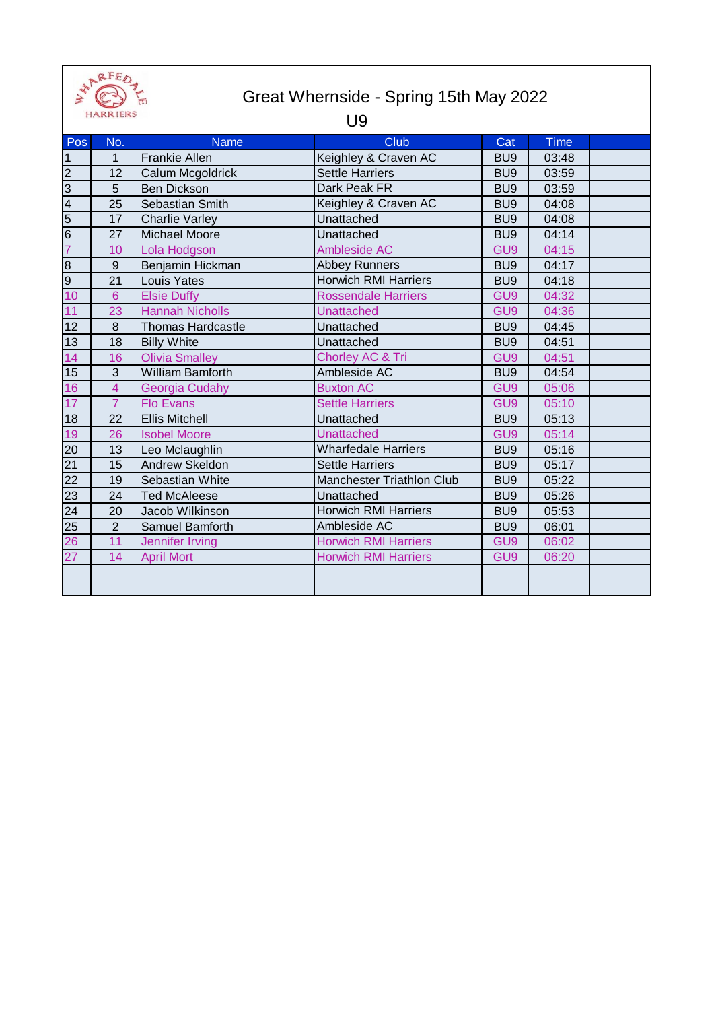

## Great Whernside - Spring 15th May 2022

## U9

| Pos             | No.             | <b>Name</b>              | Club                        | Cat             | Time  |  |
|-----------------|-----------------|--------------------------|-----------------------------|-----------------|-------|--|
| $\mathbf{1}$    | 1               | <b>Frankie Allen</b>     | Keighley & Craven AC        | BU <sub>9</sub> | 03:48 |  |
| $\overline{2}$  | 12              | Calum Mcgoldrick         | <b>Settle Harriers</b>      | BU <sub>9</sub> | 03:59 |  |
| $\overline{3}$  | 5               | <b>Ben Dickson</b>       | Dark Peak FR                | BU <sub>9</sub> | 03:59 |  |
| $\overline{4}$  | 25              | Sebastian Smith          | Keighley & Craven AC        | BU <sub>9</sub> | 04:08 |  |
| $\overline{5}$  | 17              | <b>Charlie Varley</b>    | Unattached                  | BU <sub>9</sub> | 04:08 |  |
| $\overline{6}$  | 27              | Michael Moore            | Unattached                  | BU <sub>9</sub> | 04:14 |  |
| $\overline{7}$  | 10              | Lola Hodgson             | Ambleside AC                | GU <sub>9</sub> | 04:15 |  |
| $\overline{8}$  | 9               | Benjamin Hickman         | <b>Abbey Runners</b>        | BU <sub>9</sub> | 04:17 |  |
| О)              | 21              | Louis Yates              | <b>Horwich RMI Harriers</b> | BU <sub>9</sub> | 04:18 |  |
| 10              | $6\phantom{1}6$ | <b>Elsie Duffy</b>       | <b>Rossendale Harriers</b>  | GU <sub>9</sub> | 04:32 |  |
| 11              | 23              | <b>Hannah Nicholls</b>   | <b>Unattached</b>           | GU <sub>9</sub> | 04:36 |  |
| 12              | $\,8\,$         | <b>Thomas Hardcastle</b> | Unattached                  | BU <sub>9</sub> | 04:45 |  |
| 13              | 18              | <b>Billy White</b>       | Unattached                  | BU <sub>9</sub> | 04:51 |  |
| 14              | 16              | <b>Olivia Smalley</b>    | Chorley AC & Tri            | GU <sub>9</sub> | 04:51 |  |
| 15              | 3               | <b>William Bamforth</b>  | Ambleside AC                | BU <sub>9</sub> | 04:54 |  |
| 16              | $\overline{4}$  | <b>Georgia Cudahy</b>    | <b>Buxton AC</b>            | GU <sub>9</sub> | 05:06 |  |
| 17              | $\overline{7}$  | <b>Flo Evans</b>         | <b>Settle Harriers</b>      | GU9             | 05:10 |  |
| 18              | 22              | <b>Ellis Mitchell</b>    | Unattached                  | BU <sub>9</sub> | 05:13 |  |
| 19              | 26              | <b>Isobel Moore</b>      | <b>Unattached</b>           | GU <sub>9</sub> | 05:14 |  |
| 20              | 13              | Leo Mclaughlin           | <b>Wharfedale Harriers</b>  | BU <sub>9</sub> | 05:16 |  |
| 21              | 15              | Andrew Skeldon           | <b>Settle Harriers</b>      | BU <sub>9</sub> | 05:17 |  |
| $\overline{22}$ | 19              | Sebastian White          | Manchester Triathlon Club   | BU <sub>9</sub> | 05:22 |  |
| 23              | 24              | <b>Ted McAleese</b>      | Unattached                  | BU <sub>9</sub> | 05:26 |  |
| 24              | 20              | Jacob Wilkinson          | <b>Horwich RMI Harriers</b> | BU <sub>9</sub> | 05:53 |  |
| 25              | $\overline{2}$  | Samuel Bamforth          | Ambleside AC                | BU <sub>9</sub> | 06:01 |  |
| 26              | 11              | <b>Jennifer Irving</b>   | <b>Horwich RMI Harriers</b> | GU <sub>9</sub> | 06:02 |  |
| 27              | 14              | <b>April Mort</b>        | <b>Horwich RMI Harriers</b> | GU <sub>9</sub> | 06:20 |  |
|                 |                 |                          |                             |                 |       |  |
|                 |                 |                          |                             |                 |       |  |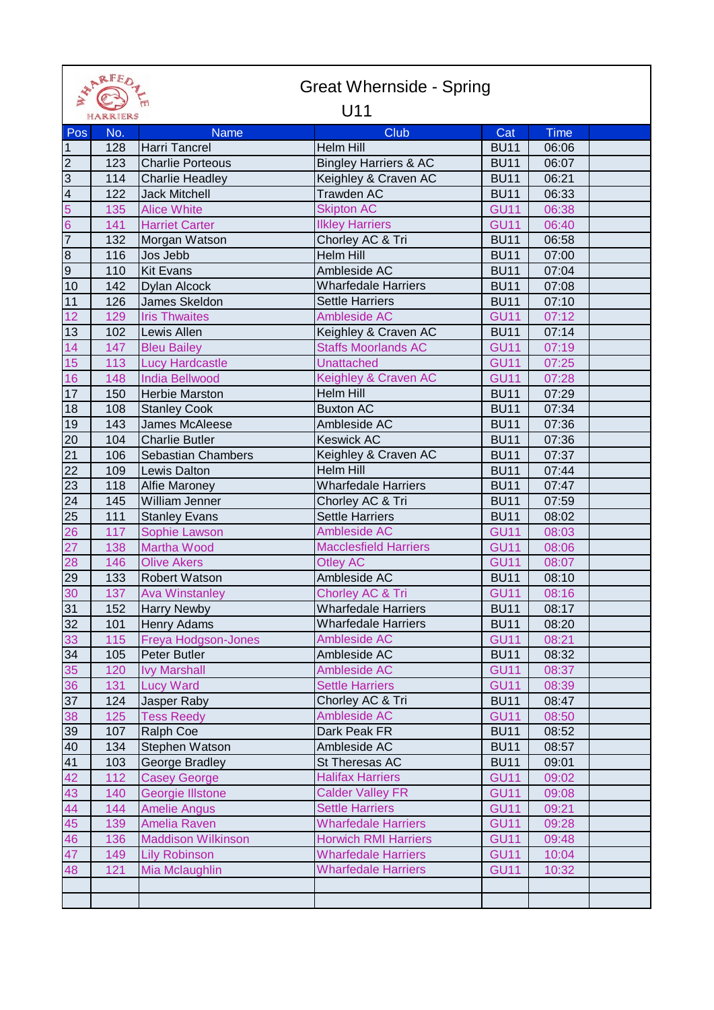|                 | ARFED<br><b>Great Whernside - Spring</b> |                           |                                  |             |       |  |
|-----------------|------------------------------------------|---------------------------|----------------------------------|-------------|-------|--|
|                 | HARRIERS                                 |                           | U11                              |             |       |  |
| Pos             | No.                                      | <b>Name</b>               | <b>Club</b>                      | Cat         | Time  |  |
| $\vert$ 1       | 128                                      | Harri Tancrel             | Helm Hill                        | <b>BU11</b> | 06:06 |  |
| $\overline{2}$  | 123                                      | <b>Charlie Porteous</b>   | <b>Bingley Harriers &amp; AC</b> | <b>BU11</b> | 06:07 |  |
| $\overline{3}$  | 114                                      | <b>Charlie Headley</b>    | Keighley & Craven AC             | <b>BU11</b> | 06:21 |  |
| $\overline{4}$  | 122                                      | <b>Jack Mitchell</b>      | <b>Trawden AC</b>                | <b>BU11</b> | 06:33 |  |
| 5               | 135                                      | <b>Alice White</b>        | <b>Skipton AC</b>                | <b>GU11</b> | 06:38 |  |
| $6\overline{6}$ | 141                                      | <b>Harriet Carter</b>     | <b>Ilkley Harriers</b>           | <b>GU11</b> | 06:40 |  |
| $\overline{7}$  | 132                                      | Morgan Watson             | Chorley AC & Tri                 | <b>BU11</b> | 06:58 |  |
| $\infty$        | 116                                      | Jos Jebb                  | <b>Helm Hill</b>                 | <b>BU11</b> | 07:00 |  |
| $\overline{9}$  | 110                                      | <b>Kit Evans</b>          | Ambleside AC                     | <b>BU11</b> | 07:04 |  |
| 10              | 142                                      | Dylan Alcock              | <b>Wharfedale Harriers</b>       | <b>BU11</b> | 07:08 |  |
| 11              | 126                                      | James Skeldon             | <b>Settle Harriers</b>           | <b>BU11</b> | 07:10 |  |
| 12              | 129                                      | <b>Iris Thwaites</b>      | Ambleside AC                     | <b>GU11</b> | 07:12 |  |
| 13              | 102                                      | Lewis Allen               | Keighley & Craven AC             | <b>BU11</b> | 07:14 |  |
| 14              | 147                                      | <b>Bleu Bailey</b>        | <b>Staffs Moorlands AC</b>       | <b>GU11</b> | 07:19 |  |
| 15              | 113                                      | <b>Lucy Hardcastle</b>    | Unattached                       | <b>GU11</b> | 07:25 |  |
| 16              | 148                                      | <b>India Bellwood</b>     | Keighley & Craven AC             | <b>GU11</b> | 07:28 |  |
| 17              | 150                                      | <b>Herbie Marston</b>     | Helm Hill                        | <b>BU11</b> | 07:29 |  |
| 18              | 108                                      | <b>Stanley Cook</b>       | <b>Buxton AC</b>                 | <b>BU11</b> | 07:34 |  |
| 19              | 143                                      | James McAleese            | Ambleside AC                     | <b>BU11</b> | 07:36 |  |
| 20              | 104                                      | <b>Charlie Butler</b>     | <b>Keswick AC</b>                | <b>BU11</b> | 07:36 |  |
| 21              | 106                                      | Sebastian Chambers        | Keighley & Craven AC             | <b>BU11</b> | 07:37 |  |
| 22              | 109                                      | Lewis Dalton              | Helm Hill                        | <b>BU11</b> | 07:44 |  |
| 23              | 118                                      | <b>Alfie Maroney</b>      | <b>Wharfedale Harriers</b>       | <b>BU11</b> | 07:47 |  |
| 24              | 145                                      | William Jenner            | Chorley AC & Tri                 | <b>BU11</b> | 07:59 |  |
| 25              | 111                                      | <b>Stanley Evans</b>      | <b>Settle Harriers</b>           | <b>BU11</b> | 08:02 |  |
| 26              | 117                                      | Sophie Lawson             | Ambleside AC                     | <b>GU11</b> | 08:03 |  |
| 27              | 138                                      | <b>Martha Wood</b>        | <b>Macclesfield Harriers</b>     | <b>GU11</b> | 08:06 |  |
| 28              | 146                                      | <b>Olive Akers</b>        | <b>Otley AC</b>                  | <b>GU11</b> | 08:07 |  |
| 29              | 133                                      | <b>Robert Watson</b>      | Ambleside AC                     | <b>BU11</b> | 08:10 |  |
| 30              | 137                                      | <b>Ava Winstanley</b>     | Chorley AC & Tri                 | <b>GU11</b> | 08:16 |  |
| 31              | 152                                      | <b>Harry Newby</b>        | <b>Wharfedale Harriers</b>       | <b>BU11</b> | 08:17 |  |
| 32              | 101                                      | Henry Adams               | <b>Wharfedale Harriers</b>       | <b>BU11</b> | 08:20 |  |
| 33              | 115                                      | Freya Hodgson-Jones       | <b>Ambleside AC</b>              | <b>GU11</b> | 08:21 |  |
| 34              | 105                                      | Peter Butler              | Ambleside AC                     | <b>BU11</b> | 08:32 |  |
| 35              | 120                                      | <b>Ivy Marshall</b>       | Ambleside AC                     | <b>GU11</b> | 08:37 |  |
| 36              | 131                                      | <b>Lucy Ward</b>          | <b>Settle Harriers</b>           | <b>GU11</b> | 08:39 |  |
| 37              | 124                                      | Jasper Raby               | Chorley AC & Tri                 | <b>BU11</b> | 08:47 |  |
| 38              | 125                                      | <b>Tess Reedy</b>         | Ambleside AC                     | <b>GU11</b> | 08:50 |  |
| 39              | 107                                      | Ralph Coe                 | Dark Peak FR                     | <b>BU11</b> | 08:52 |  |
| 40              | 134                                      | Stephen Watson            | Ambleside AC                     | <b>BU11</b> | 08:57 |  |
| 41              | 103                                      | George Bradley            | St Theresas AC                   | <b>BU11</b> | 09:01 |  |
| 42              | 112                                      | <b>Casey George</b>       | <b>Halifax Harriers</b>          | <b>GU11</b> | 09:02 |  |
| 43              | 140                                      | Georgie Illstone          | <b>Calder Valley FR</b>          | <b>GU11</b> | 09:08 |  |
| 44              | 144                                      | <b>Amelie Angus</b>       | <b>Settle Harriers</b>           | <b>GU11</b> | 09:21 |  |
| 45              | 139                                      | Amelia Raven              | <b>Wharfedale Harriers</b>       | <b>GU11</b> | 09:28 |  |
| 46              | 136                                      | <b>Maddison Wilkinson</b> | <b>Horwich RMI Harriers</b>      | <b>GU11</b> | 09:48 |  |
| 47              | 149                                      | <b>Lily Robinson</b>      | <b>Wharfedale Harriers</b>       | <b>GU11</b> | 10:04 |  |
| 48              | 121                                      | Mia Mclaughlin            | <b>Wharfedale Harriers</b>       | <b>GU11</b> | 10:32 |  |
|                 |                                          |                           |                                  |             |       |  |
|                 |                                          |                           |                                  |             |       |  |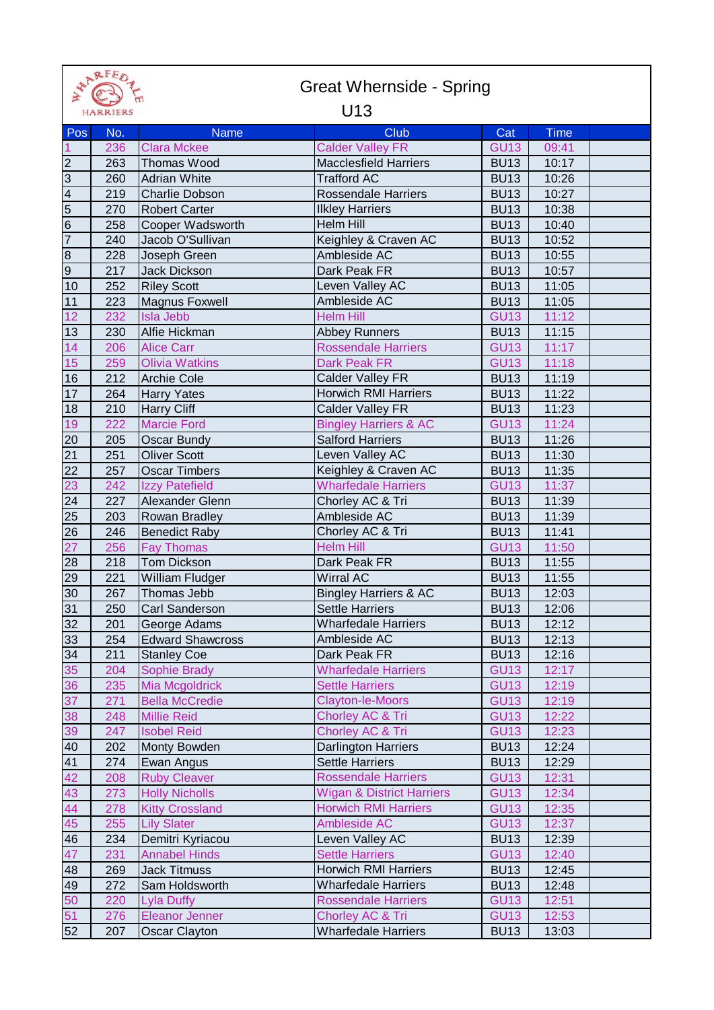|                                           | FARKFED 1       |                         | <b>Great Whernside - Spring</b>      |             |             |
|-------------------------------------------|-----------------|-------------------------|--------------------------------------|-------------|-------------|
|                                           | <b>HARRIERS</b> |                         | U <sub>13</sub>                      |             |             |
| Pos                                       | No.             | <b>Name</b>             | <b>Club</b>                          | Cat         | <b>Time</b> |
| $\overline{1}$                            | 236             | <b>Clara Mckee</b>      | <b>Calder Valley FR</b>              | <b>GU13</b> | 09:41       |
| $\overline{2}$                            | 263             | Thomas Wood             | <b>Macclesfield Harriers</b>         | <b>BU13</b> | 10:17       |
| $\frac{3}{4}$ $\frac{4}{5}$ $\frac{5}{6}$ | 260             | <b>Adrian White</b>     | <b>Trafford AC</b>                   | <b>BU13</b> | 10:26       |
|                                           | 219             | <b>Charlie Dobson</b>   | <b>Rossendale Harriers</b>           | <b>BU13</b> | 10:27       |
|                                           | 270             | <b>Robert Carter</b>    | <b>Ilkley Harriers</b>               | <b>BU13</b> | 10:38       |
|                                           | 258             | Cooper Wadsworth        | <b>Helm Hill</b>                     | <b>BU13</b> | 10:40       |
| $\overline{7}$                            | 240             | Jacob O'Sullivan        | Keighley & Craven AC                 | <b>BU13</b> | 10:52       |
| $\infty$                                  | 228             | Joseph Green            | Ambleside AC                         | <b>BU13</b> | 10:55       |
| $\overline{9}$                            | 217             | Jack Dickson            | Dark Peak FR                         | <b>BU13</b> | 10:57       |
| 10                                        | 252             | <b>Riley Scott</b>      | Leven Valley AC                      | <b>BU13</b> | 11:05       |
| 11                                        | 223             | Magnus Foxwell          | Ambleside AC                         | <b>BU13</b> | 11:05       |
| 12                                        | 232             | <b>Isla Jebb</b>        | <b>Helm Hill</b>                     | <b>GU13</b> | 11:12       |
| 13                                        | 230             | Alfie Hickman           | <b>Abbey Runners</b>                 | <b>BU13</b> | 11:15       |
| 14                                        | 206             | <b>Alice Carr</b>       | <b>Rossendale Harriers</b>           | <b>GU13</b> | 11:17       |
| 15                                        | 259             | <b>Olivia Watkins</b>   | <b>Dark Peak FR</b>                  | <b>GU13</b> | 11:18       |
| 16                                        | 212             | <b>Archie Cole</b>      | <b>Calder Valley FR</b>              | <b>BU13</b> | 11:19       |
| 17                                        | 264             | <b>Harry Yates</b>      | <b>Horwich RMI Harriers</b>          | <b>BU13</b> | 11:22       |
| 18                                        | 210             | Harry Cliff             | <b>Calder Valley FR</b>              | <b>BU13</b> | 11:23       |
| 19                                        | 222             | <b>Marcie Ford</b>      | <b>Bingley Harriers &amp; AC</b>     | <b>GU13</b> | 11:24       |
| 20                                        | 205             | Oscar Bundy             | <b>Salford Harriers</b>              | <b>BU13</b> | 11:26       |
| 21                                        | 251             | <b>Oliver Scott</b>     | Leven Valley AC                      | <b>BU13</b> | 11:30       |
| $\overline{22}$                           | 257             | <b>Oscar Timbers</b>    | Keighley & Craven AC                 | <b>BU13</b> | 11:35       |
| 23                                        | 242             | <b>Izzy Patefield</b>   | <b>Wharfedale Harriers</b>           | <b>GU13</b> | 11:37       |
| 24                                        | 227             | Alexander Glenn         | Chorley AC & Tri                     | <b>BU13</b> | 11:39       |
| 25                                        | 203             | Rowan Bradley           | Ambleside AC                         | <b>BU13</b> | 11:39       |
| $\overline{26}$                           | 246             | <b>Benedict Raby</b>    | Chorley AC & Tri                     | <b>BU13</b> | 11:41       |
| 27                                        | 256             | <b>Fay Thomas</b>       | <b>Helm Hill</b>                     | <b>GU13</b> | 11:50       |
| 28                                        | 218             | <b>Tom Dickson</b>      | Dark Peak FR                         | <b>BU13</b> | 11:55       |
| 29                                        | 221             | <b>William Fludger</b>  | <b>Wirral AC</b>                     | <b>BU13</b> | 11:55       |
| 30                                        | 267             | Thomas Jebb             | <b>Bingley Harriers &amp; AC</b>     | <b>BU13</b> | 12:03       |
| 31                                        | 250             | Carl Sanderson          | <b>Settle Harriers</b>               | <b>BU13</b> | 12:06       |
| 32                                        | 201             | George Adams            | <b>Wharfedale Harriers</b>           | <b>BU13</b> | 12:12       |
| 33                                        | 254             | <b>Edward Shawcross</b> | Ambleside AC                         | <b>BU13</b> | 12:13       |
| 34                                        | 211             | <b>Stanley Coe</b>      | Dark Peak FR                         | <b>BU13</b> | 12:16       |
| 35                                        | 204             | <b>Sophie Brady</b>     | <b>Wharfedale Harriers</b>           | <b>GU13</b> | 12:17       |
| 36                                        | 235             | Mia Mcgoldrick          | <b>Settle Harriers</b>               | <b>GU13</b> | 12:19       |
| 37                                        | 271             | <b>Bella McCredie</b>   | <b>Clayton-le-Moors</b>              | <b>GU13</b> | 12:19       |
| 38                                        | 248             | <b>Millie Reid</b>      | Chorley AC & Tri                     | <b>GU13</b> | 12:22       |
| 39                                        | 247             | <b>Isobel Reid</b>      | Chorley AC & Tri                     | <b>GU13</b> | 12:23       |
| 40                                        | 202             | Monty Bowden            | Darlington Harriers                  | <b>BU13</b> | 12:24       |
| 41                                        | 274             | Ewan Angus              | <b>Settle Harriers</b>               | <b>BU13</b> | 12:29       |
| 42                                        | 208             | <b>Ruby Cleaver</b>     | <b>Rossendale Harriers</b>           | <b>GU13</b> | 12:31       |
| 43                                        | 273             | <b>Holly Nicholls</b>   | <b>Wigan &amp; District Harriers</b> | <b>GU13</b> | 12:34       |
| 44                                        | 278             | <b>Kitty Crossland</b>  | <b>Horwich RMI Harriers</b>          | <b>GU13</b> | 12:35       |
| 45                                        | 255             | <b>Lily Slater</b>      | Ambleside AC                         | <b>GU13</b> | 12:37       |
| 46                                        | 234             | Demitri Kyriacou        | Leven Valley AC                      | <b>BU13</b> | 12:39       |
| 47                                        | 231             | <b>Annabel Hinds</b>    | <b>Settle Harriers</b>               | <b>GU13</b> | 12:40       |
| 48                                        | 269             | <b>Jack Titmuss</b>     | <b>Horwich RMI Harriers</b>          | <b>BU13</b> | 12:45       |
| 49                                        | 272             | Sam Holdsworth          | <b>Wharfedale Harriers</b>           | <b>BU13</b> | 12:48       |
| 50                                        | 220             | Lyla Duffy              | <b>Rossendale Harriers</b>           | <b>GU13</b> | 12:51       |
| 51                                        | 276             | <b>Eleanor Jenner</b>   | Chorley AC & Tri                     | <b>GU13</b> | 12:53       |
| 52                                        | 207             | <b>Oscar Clayton</b>    | <b>Wharfedale Harriers</b>           | <b>BU13</b> | 13:03       |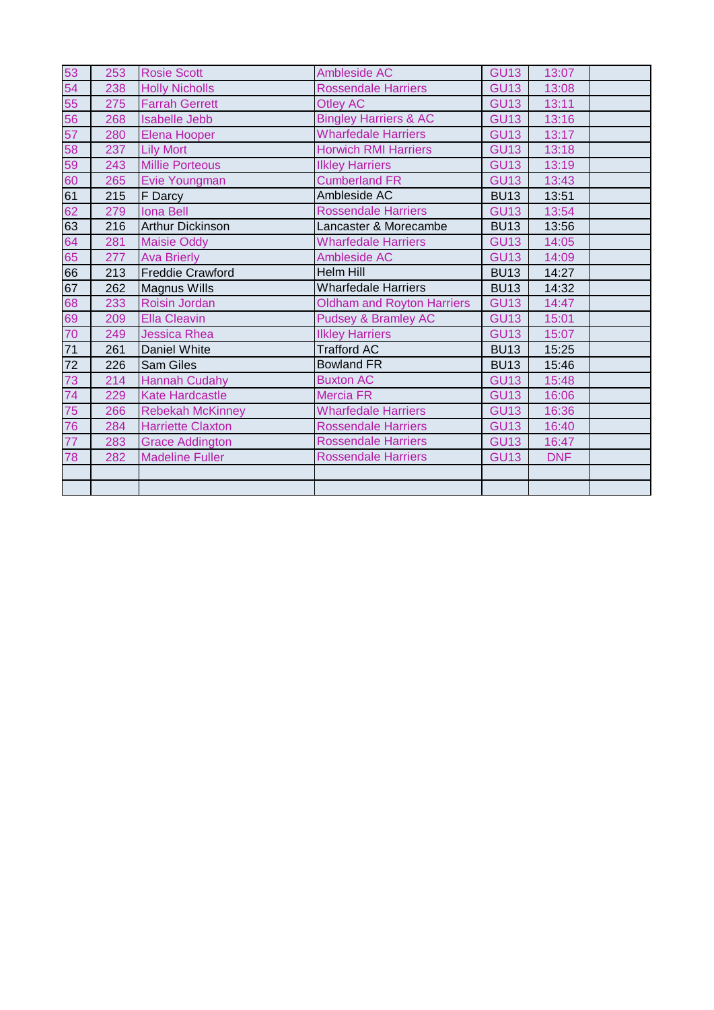| 53 | 253 | <b>Rosie Scott</b>       | Ambleside AC                      | <b>GU13</b> | 13:07      |  |
|----|-----|--------------------------|-----------------------------------|-------------|------------|--|
| 54 | 238 | <b>Holly Nicholls</b>    | <b>Rossendale Harriers</b>        | <b>GU13</b> | 13:08      |  |
| 55 | 275 | <b>Farrah Gerrett</b>    | Otley AC                          | <b>GU13</b> | 13:11      |  |
| 56 | 268 | <b>Isabelle Jebb</b>     | <b>Bingley Harriers &amp; AC</b>  | <b>GU13</b> | 13:16      |  |
| 57 | 280 | Elena Hooper             | <b>Wharfedale Harriers</b>        | <b>GU13</b> | 13:17      |  |
| 58 | 237 | <b>Lily Mort</b>         | <b>Horwich RMI Harriers</b>       | <b>GU13</b> | 13:18      |  |
| 59 | 243 | <b>Millie Porteous</b>   | <b>Ilkley Harriers</b>            | <b>GU13</b> | 13:19      |  |
| 60 | 265 | Evie Youngman            | <b>Cumberland FR</b>              | <b>GU13</b> | 13:43      |  |
| 61 | 215 | <b>F</b> Darcy           | Ambleside AC                      | <b>BU13</b> | 13:51      |  |
| 62 | 279 | <b>Iona Bell</b>         | <b>Rossendale Harriers</b>        | <b>GU13</b> | 13:54      |  |
| 63 | 216 | <b>Arthur Dickinson</b>  | Lancaster & Morecambe             | <b>BU13</b> | 13:56      |  |
| 64 | 281 | <b>Maisie Oddy</b>       | <b>Wharfedale Harriers</b>        | <b>GU13</b> | 14:05      |  |
| 65 | 277 | <b>Ava Brierly</b>       | Ambleside AC                      | <b>GU13</b> | 14:09      |  |
| 66 | 213 | <b>Freddie Crawford</b>  | <b>Helm Hill</b>                  | <b>BU13</b> | 14:27      |  |
| 67 | 262 | <b>Magnus Wills</b>      | <b>Wharfedale Harriers</b>        | <b>BU13</b> | 14:32      |  |
| 68 | 233 | Roisin Jordan            | <b>Oldham and Royton Harriers</b> | <b>GU13</b> | 14:47      |  |
| 69 | 209 | <b>Ella Cleavin</b>      | <b>Pudsey &amp; Bramley AC</b>    | <b>GU13</b> | 15:01      |  |
| 70 | 249 | <b>Jessica Rhea</b>      | <b>Ilkley Harriers</b>            | <b>GU13</b> | 15:07      |  |
| 71 | 261 | Daniel White             | <b>Trafford AC</b>                | <b>BU13</b> | 15:25      |  |
| 72 | 226 | <b>Sam Giles</b>         | <b>Bowland FR</b>                 | <b>BU13</b> | 15:46      |  |
| 73 | 214 | <b>Hannah Cudahy</b>     | <b>Buxton AC</b>                  | <b>GU13</b> | 15:48      |  |
| 74 | 229 | <b>Kate Hardcastle</b>   | <b>Mercia FR</b>                  | <b>GU13</b> | 16:06      |  |
| 75 | 266 | <b>Rebekah McKinney</b>  | <b>Wharfedale Harriers</b>        | <b>GU13</b> | 16:36      |  |
| 76 | 284 | <b>Harriette Claxton</b> | <b>Rossendale Harriers</b>        | <b>GU13</b> | 16:40      |  |
| 77 | 283 | <b>Grace Addington</b>   | <b>Rossendale Harriers</b>        | <b>GU13</b> | 16:47      |  |
| 78 | 282 | <b>Madeline Fuller</b>   | <b>Rossendale Harriers</b>        | <b>GU13</b> | <b>DNF</b> |  |
|    |     |                          |                                   |             |            |  |
|    |     |                          |                                   |             |            |  |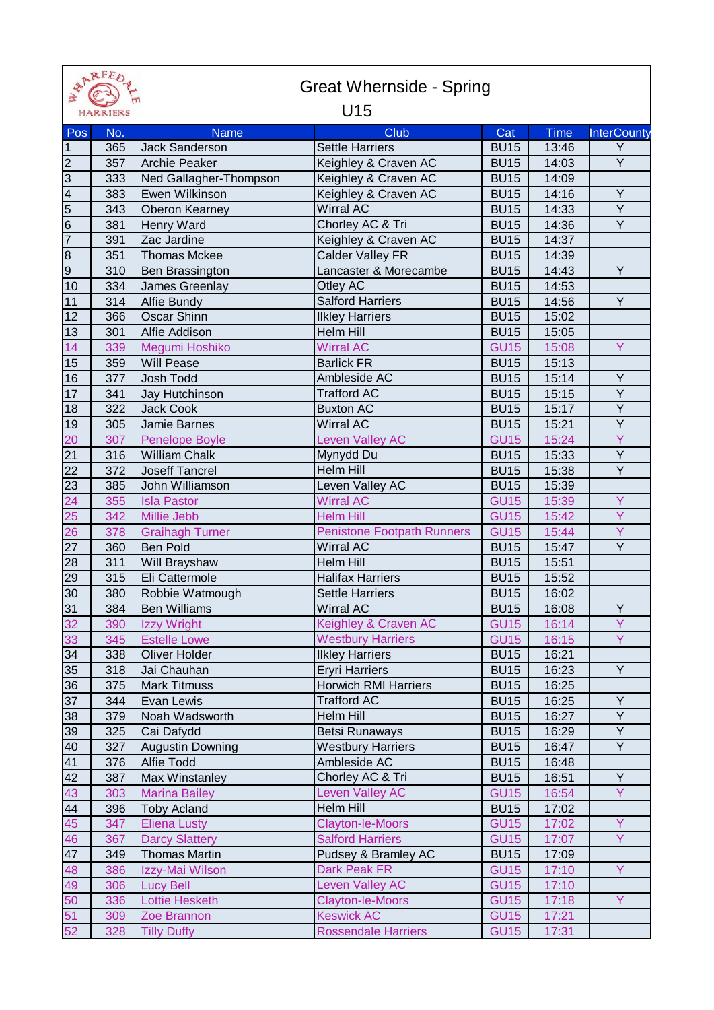|                | <b>APRFEDT</b><br><b>Great Whernside - Spring</b> |                         |                                                 |             |       |                    |  |
|----------------|---------------------------------------------------|-------------------------|-------------------------------------------------|-------------|-------|--------------------|--|
| $\geq$         | <b>HARRIERS</b>                                   |                         | U15                                             |             |       |                    |  |
| Pos            | No.                                               | <b>Name</b>             | <b>Club</b>                                     | Cat         | Time  | <b>InterCounty</b> |  |
| $\overline{1}$ | 365                                               | <b>Jack Sanderson</b>   | <b>Settle Harriers</b>                          | <b>BU15</b> | 13:46 | Y                  |  |
| $\overline{2}$ | 357                                               | <b>Archie Peaker</b>    | Keighley & Craven AC                            | <b>BU15</b> | 14:03 | Y                  |  |
| $\overline{3}$ | 333                                               | Ned Gallagher-Thompson  | Keighley & Craven AC                            | <b>BU15</b> | 14:09 |                    |  |
| $\frac{4}{5}$  | 383                                               | Ewen Wilkinson          | Keighley & Craven AC                            | <b>BU15</b> | 14:16 | Υ                  |  |
|                | 343                                               | <b>Oberon Kearney</b>   | <b>Wirral AC</b>                                | <b>BU15</b> | 14:33 | Y                  |  |
|                | 381                                               | Henry Ward              | Chorley AC & Tri                                | <b>BU15</b> | 14:36 | Y                  |  |
| $\overline{7}$ | 391                                               | Zac Jardine             | Keighley & Craven AC                            | <b>BU15</b> | 14:37 |                    |  |
| $\overline{8}$ | 351                                               | <b>Thomas Mckee</b>     | Calder Valley FR                                | <b>BU15</b> | 14:39 |                    |  |
| 9              | 310                                               | Ben Brassington         | Lancaster & Morecambe                           | <b>BU15</b> | 14:43 | Y                  |  |
| 10             | 334                                               | James Greenlay          | Otley AC                                        | <b>BU15</b> | 14:53 |                    |  |
| 11             | 314                                               | <b>Alfie Bundy</b>      | <b>Salford Harriers</b>                         | <b>BU15</b> | 14:56 | Y                  |  |
| 12             | 366                                               | <b>Oscar Shinn</b>      | <b>Ilkley Harriers</b>                          | <b>BU15</b> | 15:02 |                    |  |
| 13             | 301                                               | Alfie Addison           | Helm Hill                                       | <b>BU15</b> | 15:05 |                    |  |
| 14             | 339                                               | Megumi Hoshiko          | <b>Wirral AC</b>                                | <b>GU15</b> | 15:08 | Y                  |  |
| 15             | 359                                               | <b>Will Pease</b>       | <b>Barlick FR</b>                               | <b>BU15</b> | 15:13 |                    |  |
| 16             | 377                                               | Josh Todd               | Ambleside AC                                    | <b>BU15</b> | 15:14 | $\overline{Y}$     |  |
| 17             | 341                                               | Jay Hutchinson          | <b>Trafford AC</b>                              | <b>BU15</b> | 15:15 | Υ                  |  |
| 18             | 322                                               | <b>Jack Cook</b>        | <b>Buxton AC</b>                                | <b>BU15</b> | 15:17 | $\overline{Y}$     |  |
| 19             | 305                                               | Jamie Barnes            | <b>Wirral AC</b>                                | <b>BU15</b> | 15:21 | Y                  |  |
| 20             | 307                                               | <b>Penelope Boyle</b>   | <b>Leven Valley AC</b>                          | <b>GU15</b> | 15:24 | Ÿ                  |  |
| 21             | 316                                               | <b>William Chalk</b>    | Mynydd Du                                       | <b>BU15</b> | 15:33 | Υ                  |  |
| 22             | 372                                               | <b>Joseff Tancrel</b>   | Helm Hill                                       | <b>BU15</b> | 15:38 | $\overline{Y}$     |  |
| 23             | 385                                               | John Williamson         | Leven Valley AC                                 | <b>BU15</b> | 15:39 |                    |  |
| 24             | 355                                               | <b>Isla Pastor</b>      | <b>Wirral AC</b>                                | <b>GU15</b> | 15:39 | Y                  |  |
| 25             | 342                                               | Millie Jebb             | <b>Helm Hill</b>                                | <b>GU15</b> | 15:42 | Ÿ                  |  |
| 26             | 378                                               | <b>Graihagh Turner</b>  | <b>Penistone Footpath Runners</b>               | <b>GU15</b> | 15:44 | Y                  |  |
| 27             | 360                                               | <b>Ben Pold</b>         | Wirral AC                                       | <b>BU15</b> | 15:47 | $\overline{Y}$     |  |
| 28             | 311                                               | <b>Will Brayshaw</b>    | Helm Hill                                       | <b>BU15</b> | 15:51 |                    |  |
| 29             | 315                                               | Eli Cattermole          | <b>Halifax Harriers</b>                         | <b>BU15</b> | 15:52 |                    |  |
| 30             | 380                                               | Robbie Watmough         | <b>Settle Harriers</b>                          | <b>BU15</b> | 16:02 |                    |  |
| 31             | 384                                               | <b>Ben Williams</b>     | <b>Wirral AC</b>                                | <b>BU15</b> | 16:08 | Y.                 |  |
| 32             | 390                                               | Izzy Wright             | Keighley & Craven AC                            | <b>GU15</b> | 16:14 | Y                  |  |
| 33             | 345                                               | <b>Estelle Lowe</b>     | <b>Westbury Harriers</b>                        | <b>GU15</b> | 16:15 | Y                  |  |
| 34             | 338                                               | <b>Oliver Holder</b>    | <b>Ilkley Harriers</b>                          | <b>BU15</b> | 16:21 |                    |  |
| 35             | 318                                               | Jai Chauhan             | <b>Eryri Harriers</b>                           | <b>BU15</b> | 16:23 | Y                  |  |
| 36             | 375                                               | <b>Mark Titmuss</b>     | <b>Horwich RMI Harriers</b>                     | <b>BU15</b> | 16:25 |                    |  |
| 37             | 344                                               | Evan Lewis              | <b>Trafford AC</b>                              | <b>BU15</b> | 16:25 | Y                  |  |
| 38             | 379                                               | Noah Wadsworth          | <b>Helm Hill</b>                                | <b>BU15</b> | 16:27 | Y                  |  |
| 39             | 325                                               | Cai Dafydd              | <b>Betsi Runaways</b>                           | <b>BU15</b> | 16:29 | Y                  |  |
| 40             | 327                                               | <b>Augustin Downing</b> | <b>Westbury Harriers</b>                        | <b>BU15</b> | 16:47 | Y                  |  |
| 41             | 376                                               | Alfie Todd              | Ambleside AC                                    | <b>BU15</b> | 16:48 |                    |  |
| 42             | 387                                               | Max Winstanley          | Chorley AC & Tri                                | <b>BU15</b> | 16:51 | Y                  |  |
| 43             | 303                                               | <b>Marina Bailey</b>    | <b>Leven Valley AC</b>                          | <b>GU15</b> | 16:54 | Y                  |  |
| 44             | 396                                               | <b>Toby Acland</b>      | Helm Hill                                       | <b>BU15</b> | 17:02 |                    |  |
| 45             | 347                                               | <b>Eliena Lusty</b>     | <b>Clayton-le-Moors</b>                         | <b>GU15</b> | 17:02 | Y                  |  |
| 46             | 367                                               | <b>Darcy Slattery</b>   | <b>Salford Harriers</b>                         | <b>GU15</b> | 17:07 | Y                  |  |
| 47             | 349                                               | <b>Thomas Martin</b>    | Pudsey & Bramley AC                             | <b>BU15</b> | 17:09 |                    |  |
| 48             | 386                                               | Izzy-Mai Wilson         | <b>Dark Peak FR</b>                             | <b>GU15</b> | 17:10 | Y                  |  |
| 49             | 306                                               | <b>Lucy Bell</b>        | <b>Leven Valley AC</b>                          | <b>GU15</b> | 17:10 |                    |  |
| 50             | 336                                               | <b>Lottie Hesketh</b>   | <b>Clayton-le-Moors</b>                         | <b>GU15</b> | 17:18 | Y                  |  |
| 51<br>52       | 309                                               | Zoe Brannon             | <b>Keswick AC</b><br><b>Rossendale Harriers</b> | <b>GU15</b> | 17:21 |                    |  |
|                | 328                                               | <b>Tilly Duffy</b>      |                                                 | <b>GU15</b> | 17:31 |                    |  |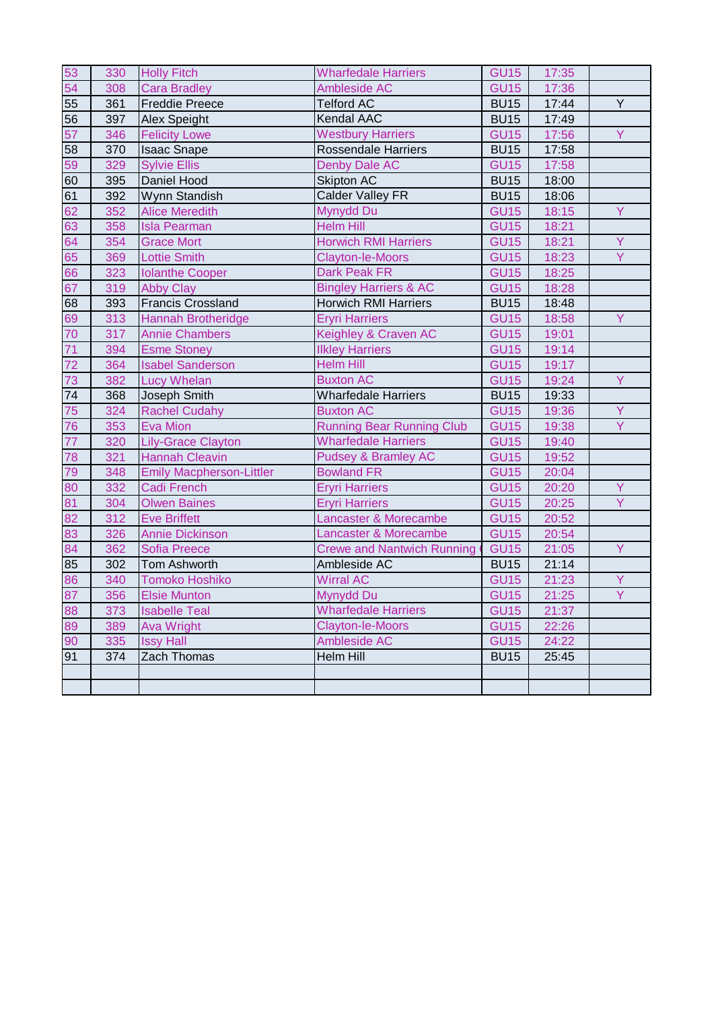| 53              | 330 | <b>Holly Fitch</b>              | <b>Wharfedale Harriers</b>          | <b>GU15</b> | 17:35 |    |
|-----------------|-----|---------------------------------|-------------------------------------|-------------|-------|----|
| 54              | 308 | <b>Cara Bradley</b>             | <b>Ambleside AC</b>                 | <b>GU15</b> | 17:36 |    |
| 55              | 361 | <b>Freddie Preece</b>           | <b>Telford AC</b>                   | <b>BU15</b> | 17:44 | Y  |
| 56              | 397 | <b>Alex Speight</b>             | <b>Kendal AAC</b>                   | <b>BU15</b> | 17:49 |    |
| 57              | 346 | <b>Felicity Lowe</b>            | <b>Westbury Harriers</b>            | <b>GU15</b> | 17:56 | Y  |
| 58              | 370 | <b>Isaac Snape</b>              | <b>Rossendale Harriers</b>          | <b>BU15</b> | 17:58 |    |
| 59              | 329 | <b>Sylvie Ellis</b>             | Denby Dale AC                       | <b>GU15</b> | 17:58 |    |
| 60              | 395 | Daniel Hood                     | <b>Skipton AC</b>                   | <b>BU15</b> | 18:00 |    |
| 61              | 392 | Wynn Standish                   | Calder Valley FR                    | <b>BU15</b> | 18:06 |    |
| 62              | 352 | <b>Alice Meredith</b>           | Mynydd Du                           | <b>GU15</b> | 18:15 | Y. |
| 63              | 358 | <b>Isla Pearman</b>             | <b>Helm Hill</b>                    | <b>GU15</b> | 18:21 |    |
| 64              | 354 | <b>Grace Mort</b>               | <b>Horwich RMI Harriers</b>         | <b>GU15</b> | 18:21 | Y  |
| 65              | 369 | <b>Lottie Smith</b>             | <b>Clayton-le-Moors</b>             | <b>GU15</b> | 18:23 | Y  |
| 66              | 323 | <b>Iolanthe Cooper</b>          | <b>Dark Peak FR</b>                 | <b>GU15</b> | 18:25 |    |
| 67              | 319 | <b>Abby Clay</b>                | <b>Bingley Harriers &amp; AC</b>    | <b>GU15</b> | 18:28 |    |
| 68              | 393 | <b>Francis Crossland</b>        | <b>Horwich RMI Harriers</b>         | <b>BU15</b> | 18:48 |    |
| 69              | 313 | Hannah Brotheridge              | <b>Eryri Harriers</b>               | <b>GU15</b> | 18:58 | Y  |
| 70              | 317 | <b>Annie Chambers</b>           | Keighley & Craven AC                | <b>GU15</b> | 19:01 |    |
| 71              | 394 | <b>Esme Stoney</b>              | <b>Ilkley Harriers</b>              | <b>GU15</b> | 19:14 |    |
| $\overline{72}$ | 364 | <b>Isabel Sanderson</b>         | <b>Helm Hill</b>                    | <b>GU15</b> | 19:17 |    |
| 73              | 382 | <b>Lucy Whelan</b>              | <b>Buxton AC</b>                    | <b>GU15</b> | 19:24 | Y  |
| 74              | 368 | Joseph Smith                    | Wharfedale Harriers                 | <b>BU15</b> | 19:33 |    |
| 75              | 324 | <b>Rachel Cudahy</b>            | <b>Buxton AC</b>                    | <b>GU15</b> | 19:36 | Y  |
| 76              | 353 | <b>Eva Mion</b>                 | <b>Running Bear Running Club</b>    | <b>GU15</b> | 19:38 | Y  |
| 77              | 320 | <b>Lily-Grace Clayton</b>       | <b>Wharfedale Harriers</b>          | <b>GU15</b> | 19:40 |    |
| 78              | 321 | <b>Hannah Cleavin</b>           | <b>Pudsey &amp; Bramley AC</b>      | <b>GU15</b> | 19:52 |    |
| 79              | 348 | <b>Emily Macpherson-Littler</b> | <b>Bowland FR</b>                   | <b>GU15</b> | 20:04 |    |
| 80              | 332 | <b>Cadi French</b>              | <b>Eryri Harriers</b>               | <b>GU15</b> | 20:20 | Y  |
| 81              | 304 | <b>Olwen Baines</b>             | <b>Eryri Harriers</b>               | <b>GU15</b> | 20:25 | Y  |
| 82              | 312 | <b>Eve Briffett</b>             | Lancaster & Morecambe               | <b>GU15</b> | 20:52 |    |
| 83              | 326 | <b>Annie Dickinson</b>          | Lancaster & Morecambe               | <b>GU15</b> | 20:54 |    |
| 84              | 362 | <b>Sofia Preece</b>             | <b>Crewe and Nantwich Running (</b> | <b>GU15</b> | 21:05 | Y  |
| 85              | 302 | <b>Tom Ashworth</b>             | Ambleside AC                        | <b>BU15</b> | 21:14 |    |
| 86              | 340 | <b>Tomoko Hoshiko</b>           | <b>Wirral AC</b>                    | <b>GU15</b> | 21:23 | Y  |
| 87              | 356 | <b>Elsie Munton</b>             | Mynydd Du                           | <b>GU15</b> | 21:25 | Ÿ  |
| 88              | 373 | <b>Isabelle Teal</b>            | <b>Wharfedale Harriers</b>          | <b>GU15</b> | 21:37 |    |
| 89              | 389 | <b>Ava Wright</b>               | <b>Clayton-le-Moors</b>             | <b>GU15</b> | 22:26 |    |
| 90              | 335 | <b>Issy Hall</b>                | Ambleside AC                        | <b>GU15</b> | 24:22 |    |
| 91              | 374 | Zach Thomas                     | Helm Hill                           | <b>BU15</b> | 25:45 |    |
|                 |     |                                 |                                     |             |       |    |
|                 |     |                                 |                                     |             |       |    |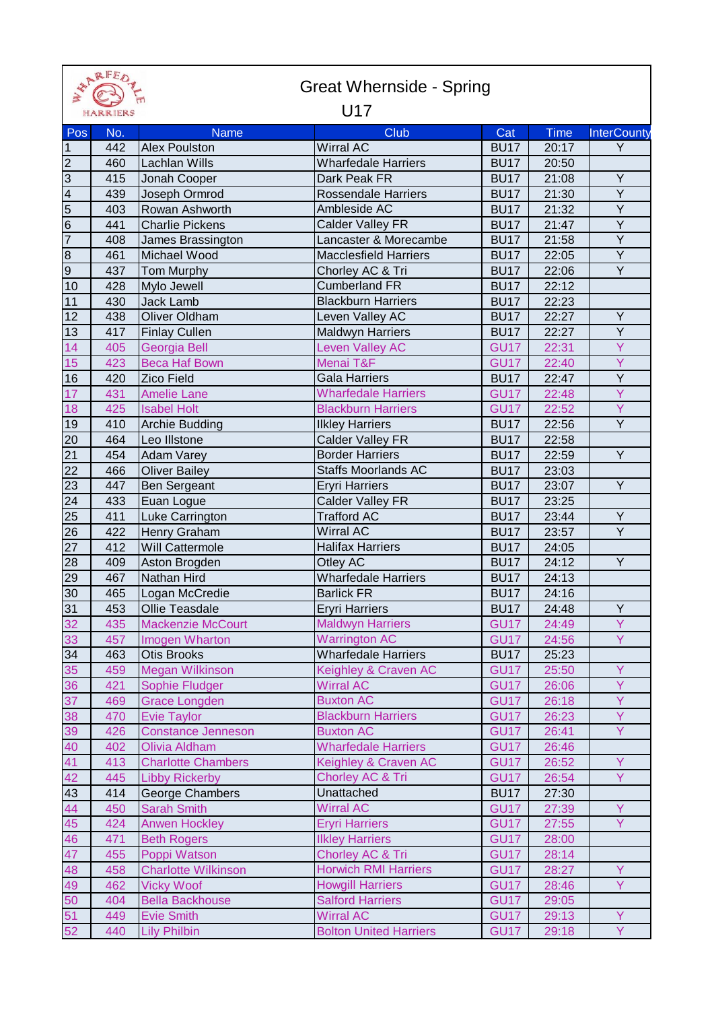| FFK      |
|----------|
| HARRIERS |

## Great Whernside - Spring

## U17

| Pos                     | No. | <b>Name</b>                | Club                          | Cat              | Time  | <b>InterCounty</b> |
|-------------------------|-----|----------------------------|-------------------------------|------------------|-------|--------------------|
| $\mathbf{1}$            | 442 | <b>Alex Poulston</b>       | <b>Wirral AC</b>              | <b>BU17</b>      | 20:17 | Y                  |
| $\overline{c}$          | 460 | <b>Lachlan Wills</b>       | <b>Wharfedale Harriers</b>    | <b>BU17</b>      | 20:50 |                    |
| $\overline{3}$          | 415 | Jonah Cooper               | Dark Peak FR                  | <b>BU17</b>      | 21:08 | Y                  |
| $\overline{\mathbf{4}}$ | 439 | Joseph Ormrod              | <b>Rossendale Harriers</b>    | <b>BU17</b>      | 21:30 | Y                  |
| $\overline{5}$          | 403 | Rowan Ashworth             | Ambleside AC                  | <b>BU17</b>      | 21:32 | Y                  |
| 6                       | 441 |                            |                               |                  |       | $\overline{Y}$     |
| $\overline{7}$          |     | <b>Charlie Pickens</b>     | Calder Valley FR              | <b>BU17</b>      | 21:47 | $\overline{Y}$     |
|                         | 408 | James Brassington          | Lancaster & Morecambe         | <b>BU17</b>      | 21:58 | $\overline{Y}$     |
| $\infty$                | 461 | Michael Wood               | <b>Macclesfield Harriers</b>  | <b>BU17</b>      | 22:05 | $\overline{Y}$     |
| О)                      | 437 | Tom Murphy                 | Chorley AC & Tri              | <b>BU17</b>      | 22:06 |                    |
| 10                      | 428 | Mylo Jewell                | <b>Cumberland FR</b>          | <b>BU17</b>      | 22:12 |                    |
| 11                      | 430 | Jack Lamb                  | <b>Blackburn Harriers</b>     | <b>BU17</b>      | 22:23 |                    |
| 12                      | 438 | Oliver Oldham              | Leven Valley AC               | <b>BU17</b>      | 22:27 | Y                  |
| 13                      | 417 | <b>Finlay Cullen</b>       | <b>Maldwyn Harriers</b>       | <b>BU17</b>      | 22:27 | Y                  |
| 14                      | 405 | Georgia Bell               | <b>Leven Valley AC</b>        | <b>GU17</b>      | 22:31 | Ÿ                  |
| 15                      | 423 | <b>Beca Haf Bown</b>       | Menai T&F                     | <b>GU17</b>      | 22:40 | Y                  |
| 16                      | 420 | <b>Zico Field</b>          | Gala Harriers                 | <b>BU17</b>      | 22:47 | $\overline{Y}$     |
| 17                      | 431 | <b>Amelie Lane</b>         | <b>Wharfedale Harriers</b>    | <b>GU17</b>      | 22:48 | Y                  |
| 18                      | 425 | <b>Isabel Holt</b>         | <b>Blackburn Harriers</b>     | <b>GU17</b>      | 22:52 | Ÿ                  |
| 19                      | 410 | <b>Archie Budding</b>      | <b>Ilkley Harriers</b>        | <b>BU17</b>      | 22:56 | Y                  |
| 20                      | 464 | Leo Illstone               | <b>Calder Valley FR</b>       | <b>BU17</b>      | 22:58 |                    |
| $\overline{21}$         | 454 | <b>Adam Varey</b>          | <b>Border Harriers</b>        | <b>BU17</b>      | 22:59 | $\overline{Y}$     |
| 22                      | 466 | <b>Oliver Bailey</b>       | <b>Staffs Moorlands AC</b>    | <b>BU17</b>      | 23:03 |                    |
| 23                      | 447 | Ben Sergeant               | <b>Eryri Harriers</b>         | <b>BU17</b>      | 23:07 | $\overline{Y}$     |
| 24                      | 433 | Euan Logue                 | Calder Valley FR              | <b>BU17</b>      | 23:25 |                    |
| 25                      | 411 | Luke Carrington            | <b>Trafford AC</b>            | <b>BU17</b>      | 23:44 | Y                  |
| 26                      | 422 | Henry Graham               | <b>Wirral AC</b>              | <b>BU17</b>      | 23:57 | Y                  |
| 27                      | 412 | Will Cattermole            | <b>Halifax Harriers</b>       | BU <sub>17</sub> | 24:05 |                    |
| 28                      | 409 | Aston Brogden              | Otley AC                      | <b>BU17</b>      | 24:12 | $\overline{Y}$     |
| 29                      | 467 | Nathan Hird                | <b>Wharfedale Harriers</b>    | <b>BU17</b>      | 24:13 |                    |
| 30                      | 465 | Logan McCredie             | <b>Barlick FR</b>             | <b>BU17</b>      | 24:16 |                    |
| 31                      | 453 | Ollie Teasdale             | <b>Eryri Harriers</b>         | <b>BU17</b>      | 24:48 | Y                  |
| 32                      | 435 | <b>Mackenzie McCourt</b>   | <b>Maldwyn Harriers</b>       | <b>GU17</b>      | 24:49 | Y                  |
| 33                      | 457 | Imogen Wharton             | <b>Warrington AC</b>          | <b>GU17</b>      | 24:56 | Ÿ                  |
| 34                      | 463 | Otis Brooks                | <b>Wharfedale Harriers</b>    | <b>BU17</b>      | 25:23 |                    |
| 35                      | 459 | <b>Megan Wilkinson</b>     | Keighley & Craven AC          | <b>GU17</b>      | 25:50 | Y                  |
| 36                      | 421 | Sophie Fludger             | <b>Wirral AC</b>              | <b>GU17</b>      | 26:06 | Y                  |
| 37                      | 469 | <b>Grace Longden</b>       | <b>Buxton AC</b>              | <b>GU17</b>      | 26:18 | Y.                 |
| 38                      | 470 | <b>Evie Taylor</b>         | <b>Blackburn Harriers</b>     | <b>GU17</b>      | 26:23 | Y                  |
| 39                      | 426 | <b>Constance Jenneson</b>  | <b>Buxton AC</b>              | <b>GU17</b>      | 26:41 | Y.                 |
| 40                      | 402 | Olivia Aldham              | <b>Wharfedale Harriers</b>    | <b>GU17</b>      | 26:46 |                    |
| 41                      | 413 | <b>Charlotte Chambers</b>  | Keighley & Craven AC          | <b>GU17</b>      | 26:52 | Y                  |
| 42                      | 445 | <b>Libby Rickerby</b>      | Chorley AC & Tri              | <b>GU17</b>      | 26:54 | Y.                 |
| 43                      | 414 | George Chambers            | Unattached                    | <b>BU17</b>      | 27:30 |                    |
| 44                      | 450 | <b>Sarah Smith</b>         | <b>Wirral AC</b>              | <b>GU17</b>      | 27:39 | Y.                 |
| 45                      | 424 | <b>Anwen Hockley</b>       | <b>Eryri Harriers</b>         | <b>GU17</b>      | 27:55 | Y.                 |
| 46                      | 471 | <b>Beth Rogers</b>         | <b>Ilkley Harriers</b>        | <b>GU17</b>      | 28:00 |                    |
| 47                      | 455 | Poppi Watson               | Chorley AC & Tri              | <b>GU17</b>      | 28:14 |                    |
| 48                      | 458 | <b>Charlotte Wilkinson</b> | <b>Horwich RMI Harriers</b>   | <b>GU17</b>      | 28:27 | Y                  |
| 49                      | 462 | <b>Vicky Woof</b>          | <b>Howgill Harriers</b>       | <b>GU17</b>      | 28:46 | Y.                 |
| 50                      | 404 | <b>Bella Backhouse</b>     | <b>Salford Harriers</b>       | <b>GU17</b>      | 29:05 |                    |
| 51                      | 449 | <b>Evie Smith</b>          | <b>Wirral AC</b>              | <b>GU17</b>      | 29:13 | Y                  |
| 52                      | 440 | <b>Lily Philbin</b>        | <b>Bolton United Harriers</b> | <b>GU17</b>      | 29:18 | Y.                 |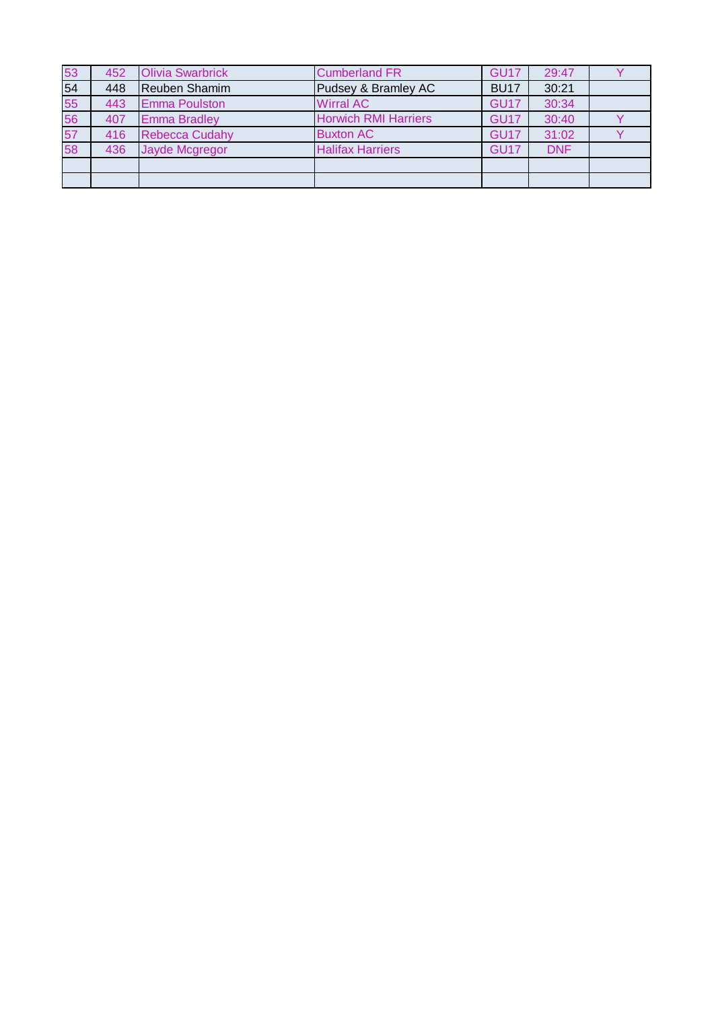| 53 | 452 | <b>Olivia Swarbrick</b> | <b>Cumberland FR</b>        | <b>GU17</b> | 29:47      |  |
|----|-----|-------------------------|-----------------------------|-------------|------------|--|
| 54 | 448 | Reuben Shamim           | Pudsey & Bramley AC         | <b>BU17</b> | 30:21      |  |
| 55 | 443 | <b>Emma Poulston</b>    | <b>Wirral AC</b>            | GU17        | 30:34      |  |
| 56 | 407 | <b>Emma Bradley</b>     | <b>Horwich RMI Harriers</b> | <b>GU17</b> | 30:40      |  |
| 57 | 416 | <b>Rebecca Cudahy</b>   | <b>Buxton AC</b>            | GU17        | 31:02      |  |
| 58 | 436 | Jayde Mcgregor          | <b>Halifax Harriers</b>     | <b>GU17</b> | <b>DNF</b> |  |
|    |     |                         |                             |             |            |  |
|    |     |                         |                             |             |            |  |